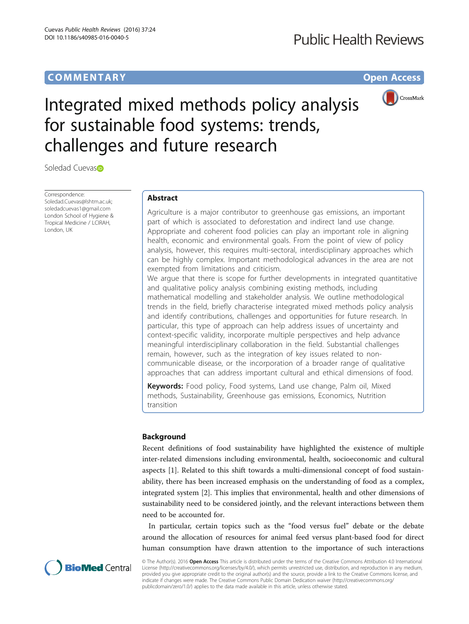# **COMMENTARY COMMENTARY Open Access**



# Integrated mixed methods policy analysis for sustainable food systems: trends, challenges and future research

Soledad Cuevas<sup>®</sup>

Correspondence: [Soledad.Cuevas@lshtm.ac.uk](mailto:Soledad.Cuevas@lshtm.ac.uk); [soledadcuevas1@gmail.com](mailto:soledadcuevas1@gmail.com) London School of Hygiene & Tropical Medicine / LCIRAH, London, UK

# Abstract

Agriculture is a major contributor to greenhouse gas emissions, an important part of which is associated to deforestation and indirect land use change. Appropriate and coherent food policies can play an important role in aligning health, economic and environmental goals. From the point of view of policy analysis, however, this requires multi-sectoral, interdisciplinary approaches which can be highly complex. Important methodological advances in the area are not exempted from limitations and criticism.

We argue that there is scope for further developments in integrated quantitative and qualitative policy analysis combining existing methods, including mathematical modelling and stakeholder analysis. We outline methodological trends in the field, briefly characterise integrated mixed methods policy analysis and identify contributions, challenges and opportunities for future research. In particular, this type of approach can help address issues of uncertainty and context-specific validity, incorporate multiple perspectives and help advance meaningful interdisciplinary collaboration in the field. Substantial challenges remain, however, such as the integration of key issues related to noncommunicable disease, or the incorporation of a broader range of qualitative approaches that can address important cultural and ethical dimensions of food.

**Keywords:** Food policy, Food systems, Land use change, Palm oil, Mixed methods, Sustainability, Greenhouse gas emissions, Economics, Nutrition transition

## Background

Recent definitions of food sustainability have highlighted the existence of multiple inter-related dimensions including environmental, health, socioeconomic and cultural aspects [[1\]](#page-3-0). Related to this shift towards a multi-dimensional concept of food sustainability, there has been increased emphasis on the understanding of food as a complex, integrated system [[2\]](#page-3-0). This implies that environmental, health and other dimensions of sustainability need to be considered jointly, and the relevant interactions between them need to be accounted for.

In particular, certain topics such as the "food versus fuel" debate or the debate around the allocation of resources for animal feed versus plant-based food for direct human consumption have drawn attention to the importance of such interactions



© The Author(s). 2016 Open Access This article is distributed under the terms of the Creative Commons Attribution 4.0 International License ([http://creativecommons.org/licenses/by/4.0/\)](http://creativecommons.org/licenses/by/4.0/), which permits unrestricted use, distribution, and reproduction in any medium, provided you give appropriate credit to the original author(s) and the source, provide a link to the Creative Commons license, and indicate if changes were made. The Creative Commons Public Domain Dedication waiver ([http://creativecommons.org/](http://creativecommons.org/publicdomain/zero/1.0/) [publicdomain/zero/1.0/\)](http://creativecommons.org/publicdomain/zero/1.0/) applies to the data made available in this article, unless otherwise stated.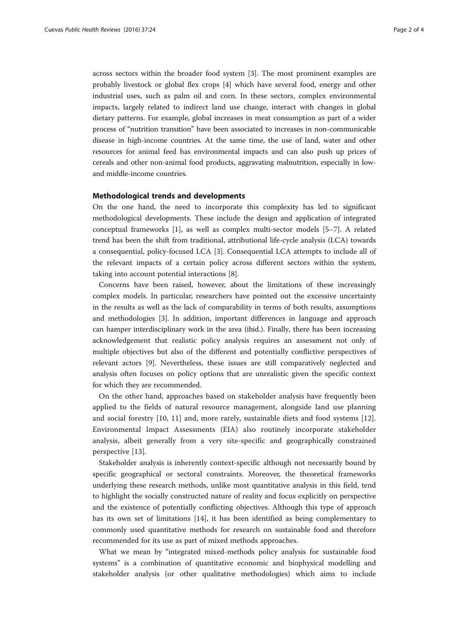across sectors within the broader food system [\[3](#page-3-0)]. The most prominent examples are probably livestock or global flex crops [\[4](#page-3-0)] which have several food, energy and other industrial uses, such as palm oil and corn. In these sectors, complex environmental impacts, largely related to indirect land use change, interact with changes in global dietary patterns. For example, global increases in meat consumption as part of a wider process of "nutrition transition" have been associated to increases in non-communicable disease in high-income countries. At the same time, the use of land, water and other resources for animal feed has environmental impacts and can also push up prices of cereals and other non-animal food products, aggravating malnutrition, especially in lowand middle-income countries.

#### Methodological trends and developments

On the one hand, the need to incorporate this complexity has led to significant methodological developments. These include the design and application of integrated conceptual frameworks [[1\]](#page-3-0), as well as complex multi-sector models [\[5](#page-3-0)–[7\]](#page-3-0). A related trend has been the shift from traditional, attributional life-cycle analysis (LCA) towards a consequential, policy-focused LCA [\[3\]](#page-3-0). Consequential LCA attempts to include all of the relevant impacts of a certain policy across different sectors within the system, taking into account potential interactions [\[8](#page-3-0)].

Concerns have been raised, however, about the limitations of these increasingly complex models. In particular, researchers have pointed out the excessive uncertainty in the results as well as the lack of comparability in terms of both results, assumptions and methodologies [[3\]](#page-3-0). In addition, important differences in language and approach can hamper interdisciplinary work in the area (ibid.). Finally, there has been increasing acknowledgement that realistic policy analysis requires an assessment not only of multiple objectives but also of the different and potentially conflictive perspectives of relevant actors [[9](#page-3-0)]. Nevertheless, these issues are still comparatively neglected and analysis often focuses on policy options that are unrealistic given the specific context for which they are recommended.

On the other hand, approaches based on stakeholder analysis have frequently been applied to the fields of natural resource management, alongside land use planning and social forestry [[10, 11\]](#page-3-0) and, more rarely, sustainable diets and food systems [\[12](#page-3-0)]. Environmental Impact Assessments (EIA) also routinely incorporate stakeholder analysis, albeit generally from a very site-specific and geographically constrained perspective [[13\]](#page-3-0).

Stakeholder analysis is inherently context-specific although not necessarily bound by specific geographical or sectoral constraints. Moreover, the theoretical frameworks underlying these research methods, unlike most quantitative analysis in this field, tend to highlight the socially constructed nature of reality and focus explicitly on perspective and the existence of potentially conflicting objectives. Although this type of approach has its own set of limitations [[14](#page-3-0)], it has been identified as being complementary to commonly used quantitative methods for research on sustainable food and therefore recommended for its use as part of mixed methods approaches.

What we mean by "integrated mixed-methods policy analysis for sustainable food systems" is a combination of quantitative economic and biophysical modelling and stakeholder analysis (or other qualitative methodologies) which aims to include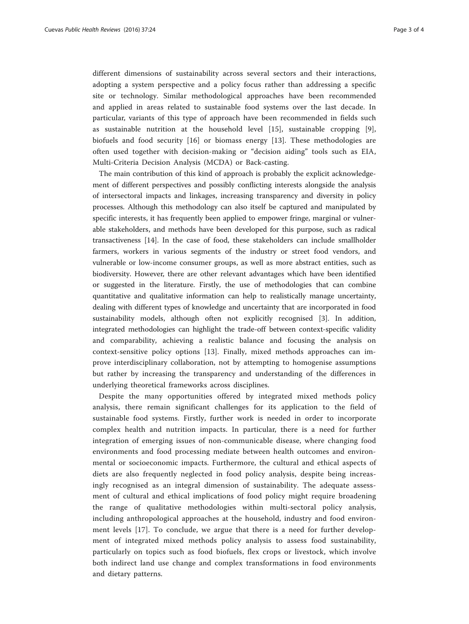different dimensions of sustainability across several sectors and their interactions, adopting a system perspective and a policy focus rather than addressing a specific site or technology. Similar methodological approaches have been recommended and applied in areas related to sustainable food systems over the last decade. In particular, variants of this type of approach have been recommended in fields such as sustainable nutrition at the household level [\[15](#page-3-0)], sustainable cropping [\[9](#page-3-0)], biofuels and food security [[16\]](#page-3-0) or biomass energy [\[13](#page-3-0)]. These methodologies are often used together with decision-making or "decision aiding" tools such as EIA, Multi-Criteria Decision Analysis (MCDA) or Back-casting.

The main contribution of this kind of approach is probably the explicit acknowledgement of different perspectives and possibly conflicting interests alongside the analysis of intersectoral impacts and linkages, increasing transparency and diversity in policy processes. Although this methodology can also itself be captured and manipulated by specific interests, it has frequently been applied to empower fringe, marginal or vulnerable stakeholders, and methods have been developed for this purpose, such as radical transactiveness [[14](#page-3-0)]. In the case of food, these stakeholders can include smallholder farmers, workers in various segments of the industry or street food vendors, and vulnerable or low-income consumer groups, as well as more abstract entities, such as biodiversity. However, there are other relevant advantages which have been identified or suggested in the literature. Firstly, the use of methodologies that can combine quantitative and qualitative information can help to realistically manage uncertainty, dealing with different types of knowledge and uncertainty that are incorporated in food sustainability models, although often not explicitly recognised [\[3](#page-3-0)]. In addition, integrated methodologies can highlight the trade-off between context-specific validity and comparability, achieving a realistic balance and focusing the analysis on context-sensitive policy options [[13\]](#page-3-0). Finally, mixed methods approaches can improve interdisciplinary collaboration, not by attempting to homogenise assumptions but rather by increasing the transparency and understanding of the differences in underlying theoretical frameworks across disciplines.

Despite the many opportunities offered by integrated mixed methods policy analysis, there remain significant challenges for its application to the field of sustainable food systems. Firstly, further work is needed in order to incorporate complex health and nutrition impacts. In particular, there is a need for further integration of emerging issues of non-communicable disease, where changing food environments and food processing mediate between health outcomes and environmental or socioeconomic impacts. Furthermore, the cultural and ethical aspects of diets are also frequently neglected in food policy analysis, despite being increasingly recognised as an integral dimension of sustainability. The adequate assessment of cultural and ethical implications of food policy might require broadening the range of qualitative methodologies within multi-sectoral policy analysis, including anthropological approaches at the household, industry and food environment levels [[17\]](#page-3-0). To conclude, we argue that there is a need for further development of integrated mixed methods policy analysis to assess food sustainability, particularly on topics such as food biofuels, flex crops or livestock, which involve both indirect land use change and complex transformations in food environments and dietary patterns.